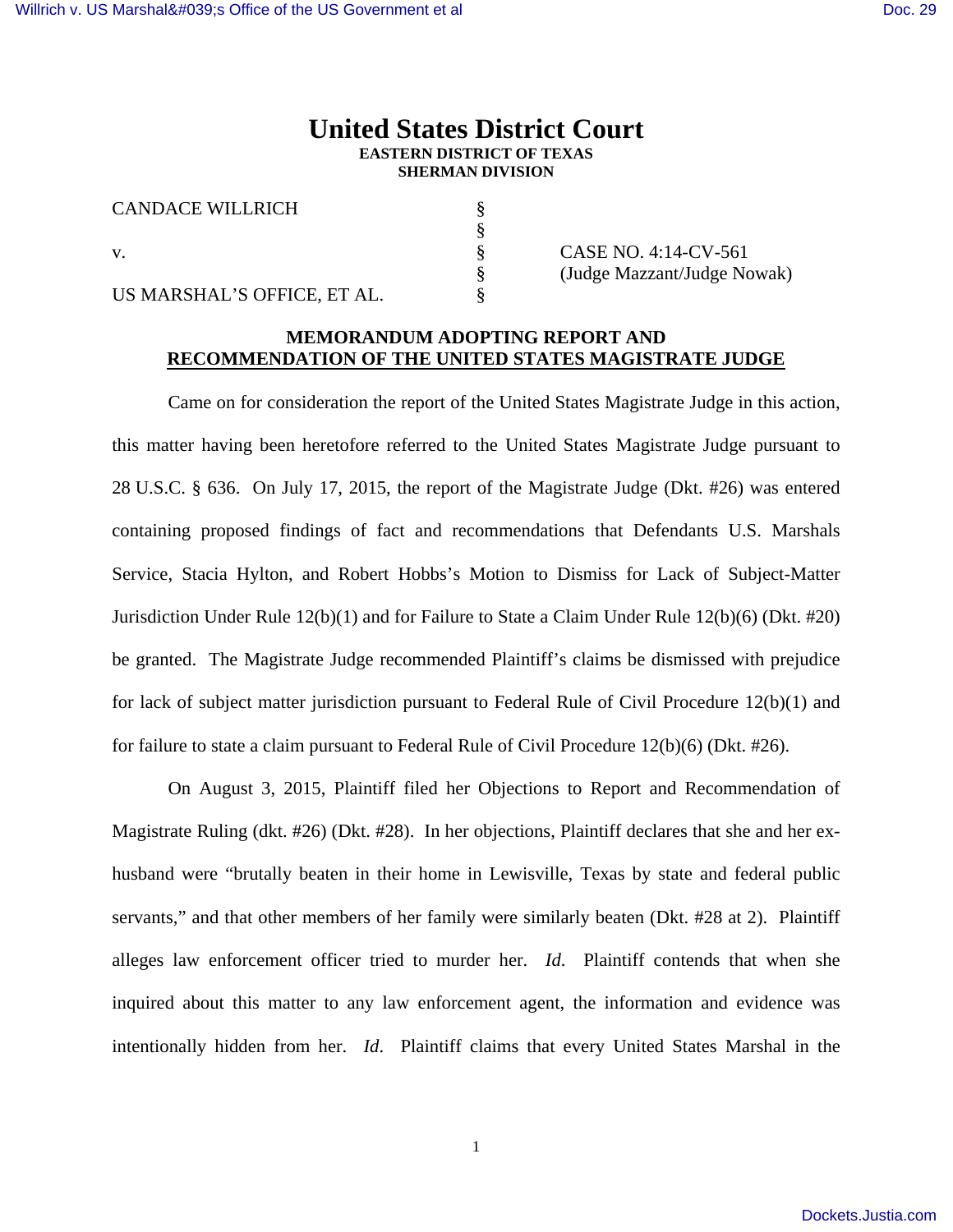# **United States District Court EASTERN DISTRICT OF TEXAS SHERMAN DIVISION**

| <b>CANDACE WILLRICH</b>     |                         |
|-----------------------------|-------------------------|
|                             |                         |
|                             | CASE NO. 4:14-CV-561    |
|                             | (Judge Mazzant/Judge No |
| US MARSHAL'S OFFICE, ET AL. |                         |

§ (Judge Mazzant/Judge Nowak)

## **MEMORANDUM ADOPTING REPORT AND RECOMMENDATION OF THE UNITED STATES MAGISTRATE JUDGE**

 Came on for consideration the report of the United States Magistrate Judge in this action, this matter having been heretofore referred to the United States Magistrate Judge pursuant to 28 U.S.C. § 636. On July 17, 2015, the report of the Magistrate Judge (Dkt. #26) was entered containing proposed findings of fact and recommendations that Defendants U.S. Marshals Service, Stacia Hylton, and Robert Hobbs's Motion to Dismiss for Lack of Subject-Matter Jurisdiction Under Rule 12(b)(1) and for Failure to State a Claim Under Rule 12(b)(6) (Dkt. #20) be granted. The Magistrate Judge recommended Plaintiff's claims be dismissed with prejudice for lack of subject matter jurisdiction pursuant to Federal Rule of Civil Procedure 12(b)(1) and for failure to state a claim pursuant to Federal Rule of Civil Procedure 12(b)(6) (Dkt. #26).

 On August 3, 2015, Plaintiff filed her Objections to Report and Recommendation of Magistrate Ruling (dkt. #26) (Dkt. #28). In her objections, Plaintiff declares that she and her exhusband were "brutally beaten in their home in Lewisville, Texas by state and federal public servants," and that other members of her family were similarly beaten (Dkt. #28 at 2). Plaintiff alleges law enforcement officer tried to murder her. *Id*. Plaintiff contends that when she inquired about this matter to any law enforcement agent, the information and evidence was intentionally hidden from her. *Id*. Plaintiff claims that every United States Marshal in the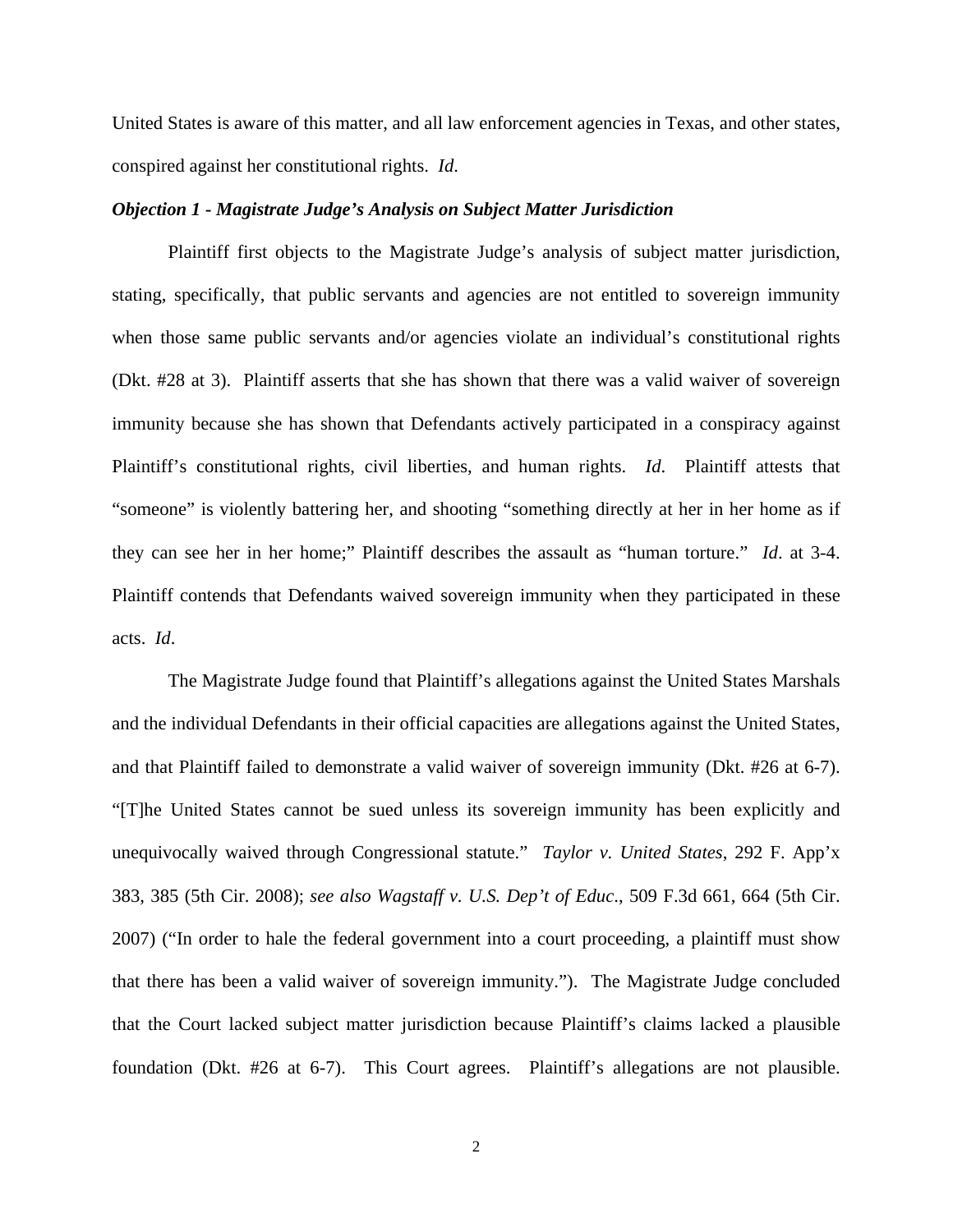United States is aware of this matter, and all law enforcement agencies in Texas, and other states, conspired against her constitutional rights. *Id*.

### *Objection 1 - Magistrate Judge's Analysis on Subject Matter Jurisdiction*

 Plaintiff first objects to the Magistrate Judge's analysis of subject matter jurisdiction, stating, specifically, that public servants and agencies are not entitled to sovereign immunity when those same public servants and/or agencies violate an individual's constitutional rights (Dkt. #28 at 3). Plaintiff asserts that she has shown that there was a valid waiver of sovereign immunity because she has shown that Defendants actively participated in a conspiracy against Plaintiff's constitutional rights, civil liberties, and human rights. *Id*. Plaintiff attests that "someone" is violently battering her, and shooting "something directly at her in her home as if they can see her in her home;" Plaintiff describes the assault as "human torture." *Id*. at 3-4. Plaintiff contends that Defendants waived sovereign immunity when they participated in these acts. *Id*.

 The Magistrate Judge found that Plaintiff's allegations against the United States Marshals and the individual Defendants in their official capacities are allegations against the United States, and that Plaintiff failed to demonstrate a valid waiver of sovereign immunity (Dkt. #26 at 6-7). "[T]he United States cannot be sued unless its sovereign immunity has been explicitly and unequivocally waived through Congressional statute." *Taylor v. United States*, 292 F. App'x 383, 385 (5th Cir. 2008); *see also Wagstaff v. U.S. Dep't of Educ*., 509 F.3d 661, 664 (5th Cir. 2007) ("In order to hale the federal government into a court proceeding, a plaintiff must show that there has been a valid waiver of sovereign immunity."). The Magistrate Judge concluded that the Court lacked subject matter jurisdiction because Plaintiff's claims lacked a plausible foundation (Dkt. #26 at 6-7). This Court agrees. Plaintiff's allegations are not plausible.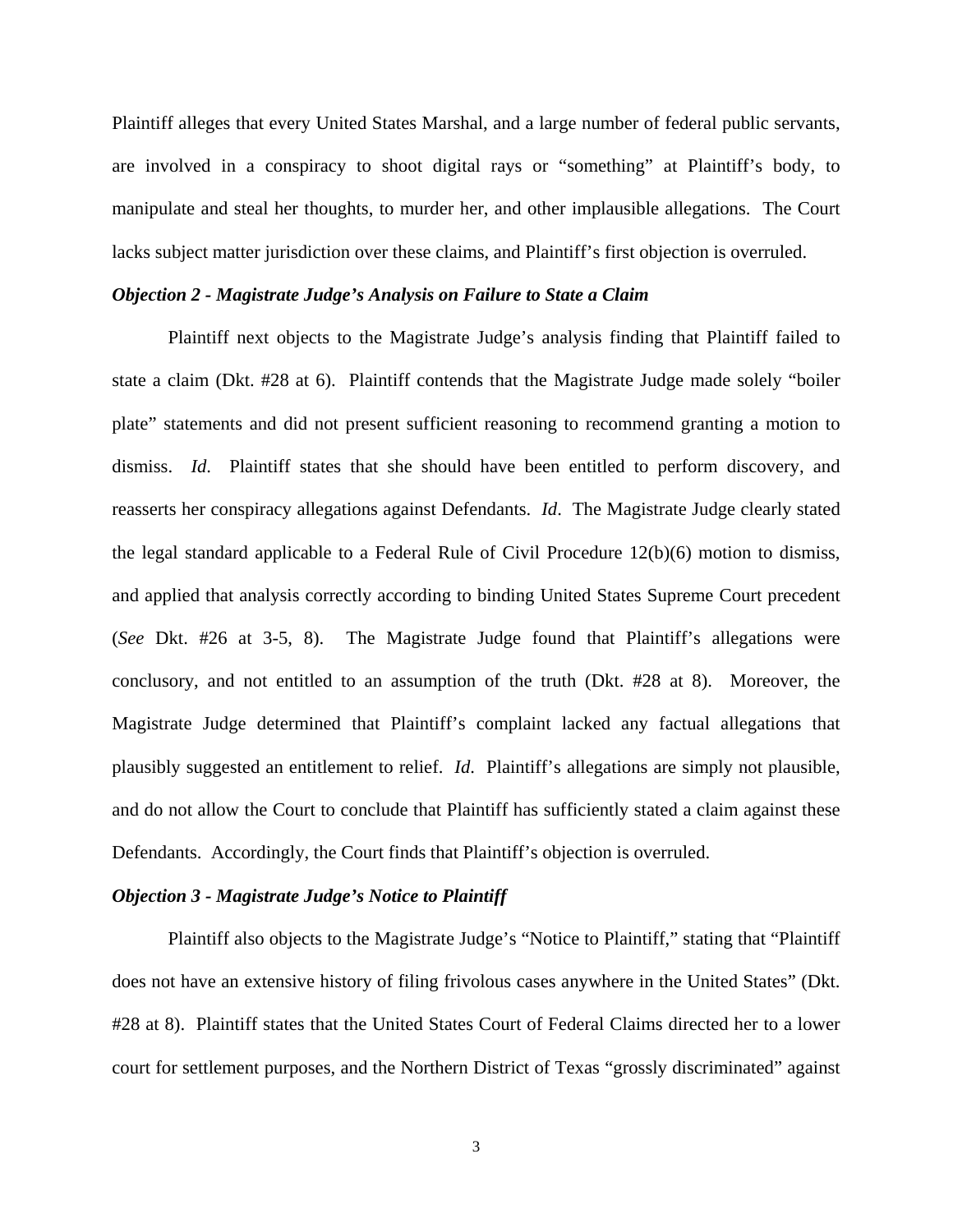Plaintiff alleges that every United States Marshal, and a large number of federal public servants, are involved in a conspiracy to shoot digital rays or "something" at Plaintiff's body, to manipulate and steal her thoughts, to murder her, and other implausible allegations. The Court lacks subject matter jurisdiction over these claims, and Plaintiff's first objection is overruled.

### *Objection 2 - Magistrate Judge's Analysis on Failure to State a Claim*

 Plaintiff next objects to the Magistrate Judge's analysis finding that Plaintiff failed to state a claim (Dkt. #28 at 6). Plaintiff contends that the Magistrate Judge made solely "boiler plate" statements and did not present sufficient reasoning to recommend granting a motion to dismiss. *Id*. Plaintiff states that she should have been entitled to perform discovery, and reasserts her conspiracy allegations against Defendants. *Id*. The Magistrate Judge clearly stated the legal standard applicable to a Federal Rule of Civil Procedure 12(b)(6) motion to dismiss, and applied that analysis correctly according to binding United States Supreme Court precedent (*See* Dkt. #26 at 3-5, 8). The Magistrate Judge found that Plaintiff's allegations were conclusory, and not entitled to an assumption of the truth (Dkt. #28 at 8). Moreover, the Magistrate Judge determined that Plaintiff's complaint lacked any factual allegations that plausibly suggested an entitlement to relief. *Id*. Plaintiff's allegations are simply not plausible, and do not allow the Court to conclude that Plaintiff has sufficiently stated a claim against these Defendants. Accordingly, the Court finds that Plaintiff's objection is overruled.

### *Objection 3 - Magistrate Judge's Notice to Plaintiff*

 Plaintiff also objects to the Magistrate Judge's "Notice to Plaintiff," stating that "Plaintiff does not have an extensive history of filing frivolous cases anywhere in the United States" (Dkt. #28 at 8). Plaintiff states that the United States Court of Federal Claims directed her to a lower court for settlement purposes, and the Northern District of Texas "grossly discriminated" against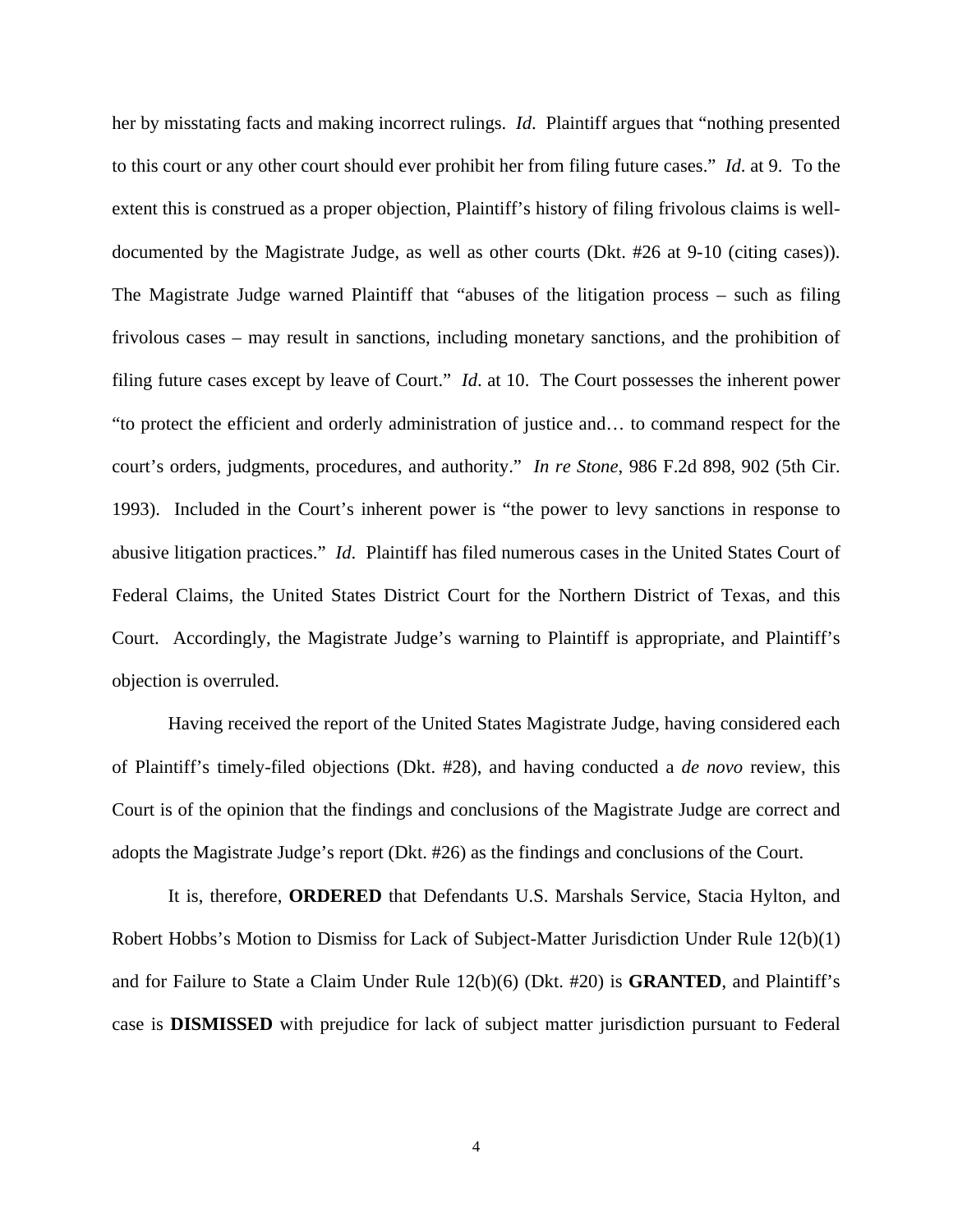her by misstating facts and making incorrect rulings. *Id*. Plaintiff argues that "nothing presented to this court or any other court should ever prohibit her from filing future cases." *Id*. at 9. To the extent this is construed as a proper objection, Plaintiff's history of filing frivolous claims is welldocumented by the Magistrate Judge, as well as other courts (Dkt. #26 at 9-10 (citing cases)). The Magistrate Judge warned Plaintiff that "abuses of the litigation process – such as filing frivolous cases – may result in sanctions, including monetary sanctions, and the prohibition of filing future cases except by leave of Court." *Id*. at 10. The Court possesses the inherent power "to protect the efficient and orderly administration of justice and… to command respect for the court's orders, judgments, procedures, and authority." *In re Stone*, 986 F.2d 898, 902 (5th Cir. 1993). Included in the Court's inherent power is "the power to levy sanctions in response to abusive litigation practices." *Id*. Plaintiff has filed numerous cases in the United States Court of Federal Claims, the United States District Court for the Northern District of Texas, and this Court. Accordingly, the Magistrate Judge's warning to Plaintiff is appropriate, and Plaintiff's objection is overruled.

 Having received the report of the United States Magistrate Judge, having considered each of Plaintiff's timely-filed objections (Dkt. #28), and having conducted a *de novo* review, this Court is of the opinion that the findings and conclusions of the Magistrate Judge are correct and adopts the Magistrate Judge's report (Dkt. #26) as the findings and conclusions of the Court.

 It is, therefore, **ORDERED** that Defendants U.S. Marshals Service, Stacia Hylton, and Robert Hobbs's Motion to Dismiss for Lack of Subject-Matter Jurisdiction Under Rule 12(b)(1) and for Failure to State a Claim Under Rule 12(b)(6) (Dkt. #20) is **GRANTED**, and Plaintiff's case is **DISMISSED** with prejudice for lack of subject matter jurisdiction pursuant to Federal